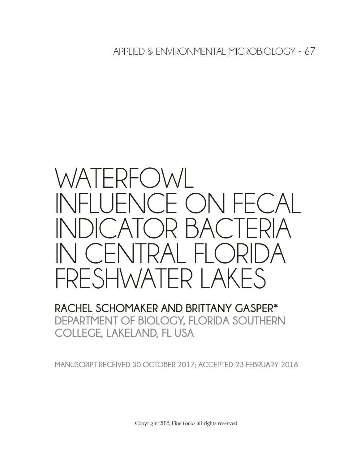APPLIED & ENVIRONMENTAL MICROBIOLOGY • 67

# WATERFOWL INFLUENCE ON FECAL INDICATOR BACTERIA IN CENTRAL FLORIDA FRESHWATER LAKES

## **RACHEL SCHOMAKER AND BRITTANY GASPER\* DEPARTMENT OF BIOLOGY, FLORIDA SOUTHERN COLLEGE, LAKELAND, FL USA**

**MANUSCRIPT RECEIVED 30 OCTOBER 2017; ACCEPTED 23 FEBRUARY 2018**

Copyright 2018, *Fine Focus* all rights reserved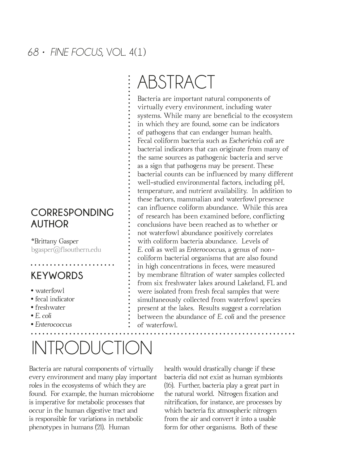### **CORRESPONDING AUTHOR**

\*Brittany Gasper bgasper@flsouthern.edu

## **KEYWORDS**

- waterfowl
- fecal indicator
- freshwater
- *E. coli*
- *Enterococcus*

## INTRODUCTION

Bacteria are natural components of virtually every environment and many play important roles in the ecosystems of which they are found. For example, the human microbiome is imperative for metabolic processes that occur in the human digestive tract and is responsible for variations in metabolic phenotypes in humans (21). Human

ABSTRACT

Bacteria are important natural components of virtually every environment, including water systems. While many are beneficial to the ecosystem in which they are found, some can be indicators of pathogens that can endanger human health. Fecal coliform bacteria such as *Escherichia coli* are bacterial indicators that can originate from many of the same sources as pathogenic bacteria and serve as a sign that pathogens may be present. These bacterial counts can be infuenced by many different well-studied environmental factors, including pH, temperature, and nutrient availability. In addition to these factors, mammalian and waterfowl presence can infuence coliform abundance. While this area of research has been examined before, conficting conclusions have been reached as to whether or not waterfowl abundance positively correlates with coliform bacteria abundance. Levels of *E. coli* as well as *Enterococcus*, a genus of noncoliform bacterial organisms that are also found in high concentrations in feces, were measured by membrane fltration of water samples collected from six freshwater lakes around Lakeland, FL and were isolated from fresh fecal samples that were simultaneously collected from waterfowl species present at the lakes. Results suggest a correlation between the abundance of *E. coli* and the presence of waterfowl.

> health would drastically change if these bacteria did not exist as human symbionts (16). Further, bacteria play a great part in the natural world. Nitrogen fxation and nitrifcation, for instance, are processes by which bacteria fix atmospheric nitrogen from the air and convert it into a usable form for other organisms. Both of these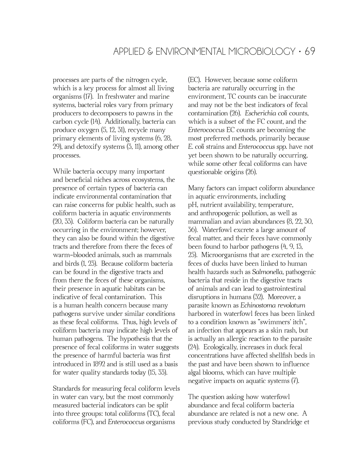processes are parts of the nitrogen cycle, which is a key process for almost all living organisms (17). In freshwater and marine systems, bacterial roles vary from primary producers to decomposers to pawns in the carbon cycle (14). Additionally, bacteria can produce oxygen (5, 12, 31), recycle many primary elements of living systems (6, 28, 29), and detoxify systems (3, 11), among other processes.

While bacteria occupy many important and beneficial niches across ecosystems, the presence of certain types of bacteria can indicate environmental contamination that can raise concerns for public health, such as coliform bacteria in aquatic environments (20, 33). Coliform bacteria can be naturally occurring in the environment; however, they can also be found within the digestive tracts and therefore from there the feces of warm-blooded animals, such as mammals and birds (1, 23). Because coliform bacteria can be found in the digestive tracts and from there the feces of these organisms, their presence in aquatic habitats can be indicative of fecal contamination. This is a human health concern because many pathogens survive under similar conditions as these fecal coliforms. Thus, high levels of coliform bacteria may indicate high levels of human pathogens. The hypothesis that the presence of fecal coliforms in water suggests the presence of harmful bacteria was frst introduced in 1892 and is still used as a basis for water quality standards today (15, 33).

Standards for measuring fecal coliform levels in water can vary, but the most commonly measured bacterial indicators can be split into three groups: total coliforms (TC), fecal coliforms (FC), and *Enterococcus* organisms

(EC). However, because some coliform bacteria are naturally occurring in the environment, TC counts can be inaccurate and may not be the best indicators of fecal contamination (26). *Escherichia coli* counts, which is a subset of the FC count, and the *Enterococcus* EC counts are becoming the most preferred methods, primarily because *E. coli* strains and *Enterococcus spp.* have not yet been shown to be naturally occurring, while some other fecal coliforms can have questionable origins (26).

Many factors can impact coliform abundance in aquatic environments, including pH, nutrient availability, temperature, and anthropogenic pollution, as well as mammalian and avian abundances (8, 22, 30, 36). Waterfowl excrete a large amount of fecal matter, and their feces have commonly been found to harbor pathogens (4, 9, 13, 25). Microorganisms that are excreted in the feces of ducks have been linked to human health hazards such as *Salmonella,* pathogenic bacteria that reside in the digestive tracts of animals and can lead to gastrointestinal disruptions in humans (32). Moreover, a parasite known as *Echinostoma revolotum* harbored in waterfowl feces has been linked to a condition known as "swimmers' itch", an infection that appears as a skin rash, but is actually an allergic reaction to the parasite (24). Ecologically, increases in duck fecal concentrations have affected shellfsh beds in the past and have been shown to infuence algal blooms, which can have multiple negative impacts on aquatic systems (7).

The question asking how waterfowl abundance and fecal coliform bacteria abundance are related is not a new one. A previous study conducted by Standridge et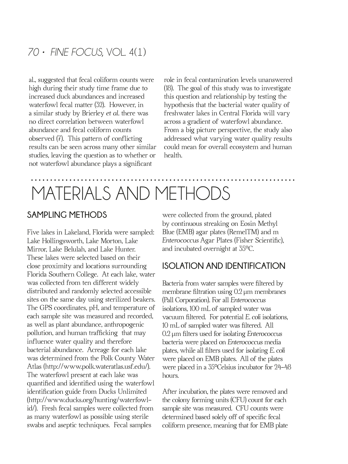al., suggested that fecal coliform counts were high during their study time frame due to increased duck abundances and increased waterfowl fecal matter (32). However, in a similar study by Brierley *et al.* there was no direct correlation between waterfowl abundance and fecal coliform counts observed  $(7)$ . This pattern of conflicting results can be seen across many other similar studies, leaving the question as to whether or not waterfowl abundance plays a signifcant

role in fecal contamination levels unanswered (18). The goal of this study was to investigate this question and relationship by testing the hypothesis that the bacterial water quality of freshwater lakes in Central Florida will vary across a gradient of waterfowl abundance. From a big picture perspective, the study also addressed what varying water quality results could mean for overall ecosystem and human health.

## MATERIALS AND METHODS

#### **SAMPLING METHODS**

Five lakes in Lakeland, Florida were sampled: Lake Hollingsworth, Lake Morton, Lake Mirror, Lake Belulah, and Lake Hunter. These lakes were selected based on their close proximity and locations surrounding Florida Southern College. At each lake, water was collected from ten different widely distributed and randomly selected accessible sites on the same day using sterilized beakers. The GPS coordinates, pH, and temperature of each sample site was measured and recorded, as well as plant abundance, anthropogenic pollution, and human traffcking that may infuence water quality and therefore bacterial abundance. Acreage for each lake was determined from the Polk County Water Atlas (http://www.polk.wateratlas.usf.edu/). The waterfowl present at each lake was quantifed and identifed using the waterfowl identifcation guide from Ducks Unlimited (http://www.ducks.org/hunting/waterfowlid/). Fresh fecal samples were collected from as many waterfowl as possible using sterile swabs and aseptic techniques. Fecal samples

were collected from the ground, plated by continuous streaking on Eosin Methyl Blue (EMB) agar plates (RemelTM) and m *Enterococcus* Agar Plates (Fisher Scientifc), and incubated overnight at 35°C.

#### **ISOLATION AND IDENTIFICATION**

Bacteria from water samples were fltered by membrane fltration using 0.2 µm membranes (Pall Corporation). For all *Enterococcus*  isolations, 100 mL of sampled water was vacuum fltered. For potential *E. coli* isolations, 10 mL of sampled water was fltered. All 0.2 µm flters used for isolating *Enterococcus*  bacteria were placed on *Enterococcus* media plates, while all flters used for isolating *E. coli*  were placed on EMB plates. All of the plates were placed in a 35°Celsius incubator for 24-48 hours.

After incubation, the plates were removed and the colony forming units (CFU) count for each sample site was measured. CFU counts were determined based solely off of specifc fecal coliform presence, meaning that for EMB plate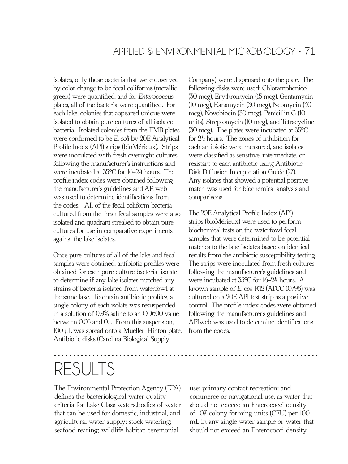isolates, only those bacteria that were observed by color change to be fecal coliforms (metallic green) were quantifed, and for *Enterococcus*  plates, all of the bacteria were quantifed. For each lake, colonies that appeared unique were isolated to obtain pure cultures of all isolated bacteria. Isolated colonies from the EMB plates were confrmed to be *E. coli* by 20E Analytical Profle Index (API) strips (bioMérieux). Strips were inoculated with fresh overnight cultures following the manufacturer's instructions and were incubated at 35°C for 16-24 hours. The profle index codes were obtained following the manufacturer's guidelines and APIweb was used to determine identifcations from the codes. All of the fecal coliform bacteria cultured from the fresh fecal samples were also isolated and quadrant streaked to obtain pure cultures for use in comparative experiments against the lake isolates.

Once pure cultures of all of the lake and fecal samples were obtained, antibiotic profles were obtained for each pure culture bacterial isolate to determine if any lake isolates matched any strains of bacteria isolated from waterfowl at the same lake. To obtain antibiotic profles, a single colony of each isolate was resuspended in a solution of 0.9% saline to an OD600 value between 0.05 and 0.1. From this suspension, 100 µL was spread onto a Mueller-Hinton plate. Antibiotic disks (Carolina Biological Supply

Company) were dispensed onto the plate. The following disks were used: Chloramphenicol (30 mcg), Erythromycin (15 mcg), Gentamycin (10 mcg), Kanamycin (30 mcg), Neomycin (30 mcg), Novobiocin (30 mcg), Penicillin G (10 units), Streptomycin (10 mcg), and Tetracycline (30 mcg). The plates were incubated at 35°C for 24 hours. The zones of inhibition for each antibiotic were measured, and isolates were classifed as sensitive, intermediate, or resistant to each antibiotic using Antibiotic Disk Diffusion Interpretation Guide (27). Any isolates that showed a potential positive match was used for biochemical analysis and comparisons.

The 20E Analytical Profle Index (API) strips (bioMérieux) were used to perform biochemical tests on the waterfowl fecal samples that were determined to be potential matches to the lake isolates based on identical results from the antibiotic susceptibility testing. The strips were inoculated from fresh cultures following the manufacturer's guidelines and were incubated at 35°C for 16-24 hours. A known sample of *E. coli* K12 (ATCC 10798) was cultured on a 20E API test strip as a positive control. The profle index codes were obtained following the manufacturer's guidelines and APIweb was used to determine identifcations from the codes.

# RESULTS

The Environmental Protection Agency (EPA) defnes the bacteriological water quality criteria for Lake Class waters,bodies of water that can be used for domestic, industrial, and agricultural water supply; stock watering; seafood rearing; wildlife habitat; ceremonial

use; primary contact recreation; and commerce or navigational use, as water that should not exceed an Enterococci density of 107 colony forming units (CFU) per 100 mL in any single water sample or water that should not exceed an Enterococci density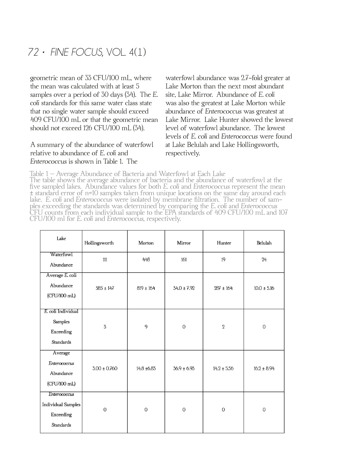geometric mean of 33 CFU/100 mL, where the mean was calculated with at least 5 samples over a period of 30 days (34). The *E. coli* standards for this same water class state that no single water sample should exceed 409 CFU/100 mL or that the geometric mean should not exceed 126 CFU/100 mL (34).

#### A summary of the abundance of waterfowl relative to abundance of *E. coli* and *Enterococcus* is shown in Table 1. The

waterfowl abundance was 2.7-fold greater at Lake Morton than the next most abundant site, Lake Mirror. Abundance of *E. coli* was also the greatest at Lake Morton while abundance of *Enterococcus* was greatest at Lake Mirror. Lake Hunter showed the lowest level of waterfowl abundance. The lowest levels of *E. coli* and *Enterococcus* were found at Lake Belulah and Lake Hollingsworth, respectively.

Table 1 – Average Abundance of Bacteria and Waterfowl at Each Lake The table shows the average abundance of bacteria and the abundance of waterfowl at the fve sampled lakes. Abundance values for both *E. coli* and *Enterococcus* represent the mean ± standard error of n=10 samples taken from unique locations on the same day around each lake. *E. coli* and *Enterococcus* were isolated by membrane fltration. The number of sam- ples exceeding the standards was determined by comparing the *E. coli* and *Enterococcus* CFU counts from each individual sample to the EPA standards of 409 CFU/100 mL and 107 CFU/100 ml for *E. coli* and *Enterococcus,* respectively.

| Lake                                                                       | Hollingsworth    | Morton         | Mirror          | Hunter          | Belulah         |
|----------------------------------------------------------------------------|------------------|----------------|-----------------|-----------------|-----------------|
| Waterfowl<br>Abundance                                                     | 111              | 448            | 161             | 19              | 24              |
| Average E. coli<br>Abundance<br>(CFU/100 mL)                               | $385 \pm 147$    | $819 \pm 164$  | $34.0 \pm 7.92$ | $287 \pm 164$   | $10.0 \pm 5.16$ |
| E. coli Individual<br>Samples<br>Exceeding<br><b>Standards</b>             | 3                | 9              | $\mathbf 0$     | $\overline{2}$  | $\mathbf 0$     |
| Average<br>Enterococcus<br>Abundance<br>(CFU/100 mL)                       | $3.00 \pm 0.760$ | 14.8 ±6.83     | $36.9 \pm 6.93$ | $14.2 \pm 5.56$ | $16.2 \pm 8.94$ |
| Enterococcus<br><b>Individual Samples</b><br>Exceeding<br><b>Standards</b> | $\mathbf 0$      | $\overline{0}$ | $\mathbf{0}$    | $\overline{0}$  | $\overline{0}$  |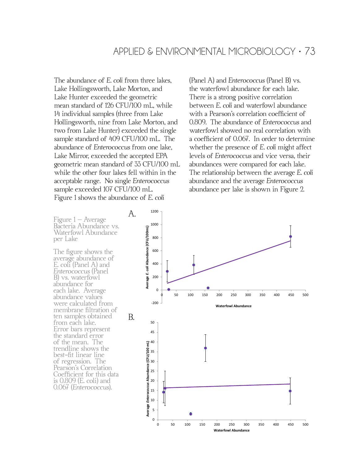The abundance of *E. coli* from three lakes, Lake Hollingsworth, Lake Morton, and Lake Hunter exceeded the geometric mean standard of 126 CFU/100 mL, while 14 individual samples (three from Lake Hollingsworth, nine from Lake Morton, and two from Lake Hunter) exceeded the single sample standard of 409 CFU/100 mL. The abundance of *Enterococcus* from one lake, Lake Mirror, exceeded the accepted EPA geometric mean standard of 33 CFU/100 mL while the other four lakes fell within in the acceptable range. No single *Enterococcus* sample exceeded 107 CFU/100 mL. Figure 1 shows the abundance of *E. coli* **Figure 1**

(Panel A) and *Enterococcus* (Panel B) vs. the waterfowl abundance for each lake. There is a strong positive correlation between *E. coli* and waterfowl abundance with a Pearson's correlation coefficient of 0.809. The abundance of *Enterococcus* and waterfowl showed no real correlation with a coeffcient of 0.067. In order to determine whether the presence of *E. coli* might affect levels of *Enterococcus* and vice versa, their abundances were compared for each lake. The relationship between the average *E. coli* abundance and the average *Enterococcus* abundance per lake is shown in Figure 2.

Figure 1 – Average Bacteria Abundance vs. Waterfowl Abundance per Lake

The fgure shows the average abundance of E. coli (Panel A) and *Enterococcus* (Panel B) vs. waterfowl abundance for each lake. Average abundance values were calculated from membrane fltration of ten samples obtained from each lake. Error bars represent the standard error of the mean. The trendline shows the best-ft linear line of regression. The Pearson's Correlation Coefficient for this data is 0.809 (E. coli) and 0.067 (*Enterococcus*).

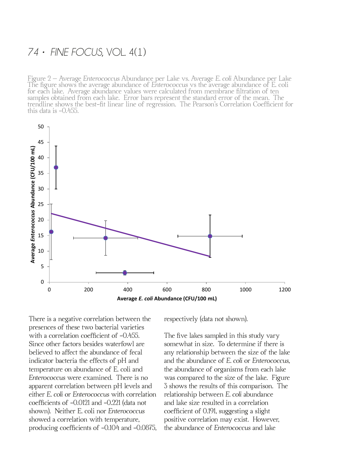Figure 2 – Average *Enterococcus* Abundance per Lake vs. Average *E. coli* Abundance per Lake The fgure shows the average abundance of *Enterococcus* vs the average abundance of E. coli for each lake. Average abundance values were calculated from membrane fltration of ten samples obtained from each lake. Error bars represent the standard error of the mean. The trendline shows the best-ft linear line of regression. The Pearson's Correlation Coeffcient for



There is a negative correlation between the presences of these two bacterial varieties with a correlation coefficient of  $-0.455$ . Since other factors besides waterfowl are believed to affect the abundance of fecal indicator bacteria the effects of pH and temperature on abundance of E. coli and *Enterococcus* were examined. There is no apparent correlation between pH levels and either *E. coli* or *Enterococcus* with correlation coeffcients of -0.0121 and -0.221 (data not shown). Neither E. coli nor *Enterococcus* showed a correlation with temperature, producing coefficients of  $-0.104$  and  $-0.0875$ , respectively (data not shown).

The five lakes sampled in this study vary somewhat in size. To determine if there is any relationship between the size of the lake and the abundance of *E. coli* or *Enterococcus,* the abundance of organisms from each lake was compared to the size of the lake. Figure 3 shows the results of this comparison. The relationship between *E. coli* abundance and lake size resulted in a correlation coefficient of 0.191, suggesting a slight positive correlation may exist. However, the abundance of *Enterococcus* and lake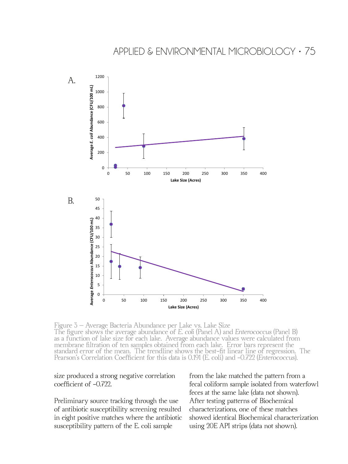

Figure 3 – Average Bacteria Abundance per Lake vs. Lake Size The fgure shows the average abundance of *E. coli* (Panel A) and *Enterococcus* (Panel B) as a function of lake size for each lake. Average abundance values were calculated from membrane fltration of ten samples obtained from each lake. Error bars represent the standard error of the mean. The trendline shows the best-ft linear line of regression. The Pearson's Correlation Coeffcient for this data is 0.191 (E. coli) and -0.722 (*Enterococcus*).

#### size produced a strong negative correlation coefficient of -0.722.

Preliminary source tracking through the use of antibiotic susceptibility screening resulted in eight positive matches where the antibiotic susceptibility pattern of the E. coli sample

from the lake matched the pattern from a fecal coliform sample isolated from waterfowl feces at the same lake (data not shown). After testing patterns of Biochemical characterizations, one of these matches showed identical Biochemical characterization using 20E API strips (data not shown).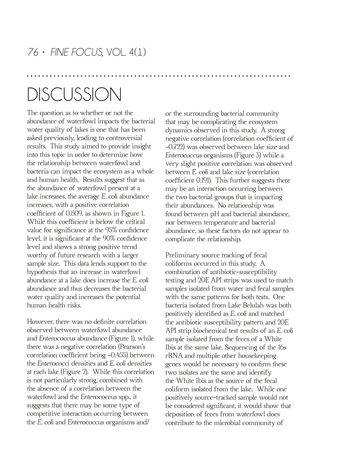## **DISCUSSION**

The question as to whether or not the abundance of waterfowl impacts the bacterial water quality of lakes is one that has been asked previously, leading to controversial results. This study aimed to provide insight into this topic in order to determine how the relationship between waterfowl and bacteria can impact the ecosystem as a whole and human health. Results suggest that as the abundance of waterfowl present at a lake increases, the average *E. coli* abundance increases, with a positive correlation coefficient of 0.809, as shown in Figure 1. While this coefficient is below the critical value for signifcance at the 95% confdence level, it is signifcant at the 90% confdence level and shows a strong positive trend worthy of future research with a larger sample size. This data lends support to the hypothesis that an increase in waterfowl abundance at a lake does increase the *E. coli* abundance and thus decreases the bacterial water quality and increases the potential human health risks.

However, there was no defnite correlation observed between waterfowl abundance and *Enterococcus* abundance (Figure 1), while there was a negative correlation (Pearson's correlation coefficient being -0.455) between the *Enterococci* densities and *E. coli* densities at each lake (Figure 2). While this correlation is not particularly strong, combined with the absence of a correlation between the waterfowl and the *Enterococcus* spp., it suggests that there may be some type of competitive interaction occurring between the *E. coli* and *Enterococcus* organisms and/

or the surrounding bacterial community that may be complicating the ecosystem dynamics observed in this study. A strong negative correlation (correlation coefficient of -0.722) was observed between lake size and *Enterococcus* organisms (Figure 3) while a very slight positive correlation was observed between *E. coli* and lake size (correlation coefficient 0.191). This further suggests there may be an interaction occurring between the two bacterial groups that is impacting their abundances. No relationship was found between pH and bacterial abundance, nor between temperature and bacterial abundance, so these factors do not appear to complicate the relationship.

Preliminary source tracking of fecal coliforms occurred in this study. A combination of antibiotic-susceptibility testing and 20E API strips was used to match samples isolated from water and fecal samples with the same patterns for both tests. One bacteria isolated from Lake Belulah was both positively identifed as *E. coli* and matched the antibiotic susceptibility pattern and 20E API strip biochemical test results of an *E. coli* sample isolated from the feces of a White Ibis at the same lake. Sequencing of the 16s rRNA and multiple other housekeeping genes would be necessary to confrm these two isolates are the same and identify the White Ibis as the source of the fecal coliform isolated from the lake. While one positively source-tracked sample would not be considered signifcant, it would show that deposition of feces from waterfowl does contribute to the microbial community of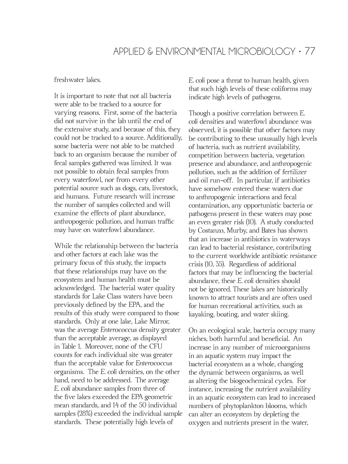#### freshwater lakes.

It is important to note that not all bacteria were able to be tracked to a source for varying reasons. First, some of the bacteria did not survive in the lab until the end of the extensive study, and because of this, they could not be tracked to a source. Additionally, some bacteria were not able to be matched back to an organism because the number of fecal samples gathered was limited. It was not possible to obtain fecal samples from every waterfowl, nor from every other potential source such as dogs, cats, livestock, and humans. Future research will increase the number of samples collected and will examine the effects of plant abundance, anthropogenic pollution, and human traffc may have on waterfowl abundance.

While the relationship between the bacteria and other factors at each lake was the primary focus of this study, the impacts that these relationships may have on the ecosystem and human health must be acknowledged. The bacterial water quality standards for Lake Class waters have been previously defned by the EPA, and the results of this study were compared to those standards. Only at one lake, Lake Mirror, was the average *Enterococcus* density greater than the acceptable average, as displayed in Table 1. Moreover, none of the CFU counts for each individual site was greater than the acceptable value for *Enterococcus* organisms. The *E. coli* densities, on the other hand, need to be addressed. The average *E. coli* abundance samples from three of the fve lakes exceeded the EPA geometric mean standards, and 14 of the 50 individual samples (28%) exceeded the individual sample standards. These potentially high levels of

*E. coli* pose a threat to human health, given that such high levels of these coliforms may indicate high levels of pathogens.

Though a positive correlation between *E. coli* densities and waterfowl abundance was observed, it is possible that other factors may be contributing to these unusually high levels of bacteria, such as nutrient availability, competition between bacteria, vegetation presence and abundance, and anthropogenic pollution, such as the addition of fertilizer and oil run-off. In particular, if antibiotics have somehow entered these waters due to anthropogenic interactions and fecal contamination, any opportunistic bacteria or pathogens present in these waters may pose an even greater risk (10). A study conducted by Costanzo, Murby, and Bates has shown that an increase in antibiotics in waterways can lead to bacterial resistance, contributing to the current worldwide antibiotic resistance crisis (10, 35). Regardless of additional factors that may be infuencing the bacterial abundance, these *E. coli* densities should not be ignored. These lakes are historically known to attract tourists and are often used for human recreational activities, such as kayaking, boating, and water skiing.

On an ecological scale, bacteria occupy many niches, both harmful and benefcial. An increase in any number of microorganisms in an aquatic system may impact the bacterial ecosystem as a whole, changing the dynamic between organisms, as well as altering the biogeochemical cycles. For instance, increasing the nutrient availability in an aquatic ecosystem can lead to increased numbers of phytoplankton blooms, which can alter an ecosystem by depleting the oxygen and nutrients present in the water,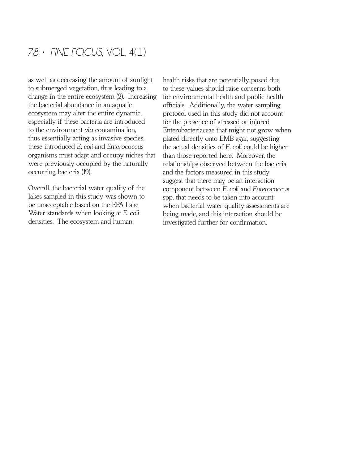as well as decreasing the amount of sunlight to submerged vegetation, thus leading to a change in the entire ecosystem (2). Increasing the bacterial abundance in an aquatic ecosystem may alter the entire dynamic, especially if these bacteria are introduced to the environment *via* contamination, thus essentially acting as invasive species, these introduced *E. coli* and *Enterococcus* organisms must adapt and occupy niches that were previously occupied by the naturally occurring bacteria (19).

Overall, the bacterial water quality of the lakes sampled in this study was shown to be unacceptable based on the EPA Lake Water standards when looking at *E. coli* densities. The ecosystem and human

health risks that are potentially posed due to these values should raise concerns both for environmental health and public health offcials. Additionally, the water sampling protocol used in this study did not account for the presence of stressed or injured Enterobacteriaceae that might not grow when plated directly onto EMB agar, suggesting the actual densities of *E. coli* could be higher than those reported here. Moreover, the relationships observed between the bacteria and the factors measured in this study suggest that there may be an interaction component between *E. coli* and *Enterococcus* spp. that needs to be taken into account when bacterial water quality assessments are being made, and this interaction should be investigated further for confrmation.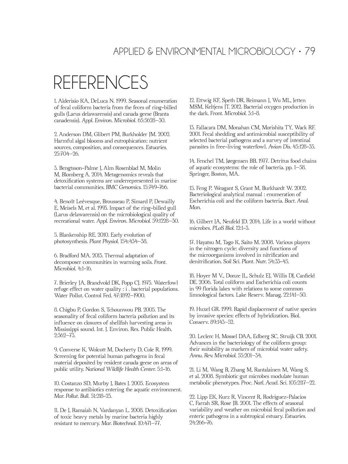### APPLIED & ENVIRONMENTAL MICROBIOLOGY • 79

## REFERENCES

1. Alderisio KA, DeLuca N. 1999. Seasonal enumeration of fecal coliform bacteria from the feces of ring-billed gulls (Larus delawarensis) and canada geese (Branta canadensis). *Appl. Environ. Microbiol*. 65:5628–30.

2. Anderson DM, Glibert PM, Burkholder JM. 2002. Harmful algal blooms and eutrophication: nutrient sources, composition, and consequences. *Estuaries.* 25:704–26.

3. Bengtsson-Palme J, Alm Rosenblad M, Molin M, Blomberg A. 2014. Metagenomics reveals that detoxifcation systems are underrepresented in marine bacterial communities. *BMC Genomics.* 15:749-766.

4. Benoît Leévesque, Brousseau P, Simard P, Dewailly E, Meisels M, et al. 1993. Impact of the ring-billed gull (Larus delawarensis) on the microbiological quality of recreational water. *Appl. Environ. Microbiol.* 59:1228–30.

5. Blankenship RE. 2010. Early evolution of photosynthesis. *Plant Physiol.* 154:434–38.

6. Bradford MA. 2013. Thermal adaptation of decomposer communities in warming soils. *Front. Microbiol.* 4:1-16.

7. Brierley JA, Brandvold DK, Popp CJ. 1975. Waterfowl refuge effect on water quality : i . bacterial populations. Water Pollut. Control Fed. 47:1892–1900.

8. Chigbu P, Gordon S, Tchounwou PB. 2005. The seasonality of fecal coliform bacteria pollution and its infuence on closures of shellfsh harvesting areas in Mississippi sound. Int. J. Environ. Res. Public Health. 2:362–73.

9. Converse K, Wolcott M, Docherty D, Cole R. 1999. Screening for potential human pathogens in fecal material deposited by resident canada geese on areas of public utility. *National Wildlife Health Center.* 5:1-16.

10. Costanzo SD, Murby J, Bates J. 2005. Ecosystem response to antibiotics entering the aquatic environment. *Mar. Pollut. Bull.* 51:218-23.

11. De J, Ramaiah N, Vardanyan L. 2008. Detoxifcation of toxic heavy metals by marine bacteria highly resistant to mercury. *Mar. Biotechnol.* 10:471–77.

12. Ettwig KF, Speth DR, Reimann J, Wu ML, Jetten MSM, Keltjens JT. 2012. Bacterial oxygen production in the dark. Front. *Microbiol.* 3:1-8.

13. Fallacara DM, Monahan CM, Morishita TY, Wack RF. 2001. Fecal shedding and antimicrobial susceptibility of selected bacterial pathogens and a survey of intestinal parasites in free-living waterfowl. *Avian Dis.* 45:128-35.

14. Fenchel TM, Jørgensen BB. 1977. Detritus food chains of aquatic ecosystems: the role of bacteria. pp. 1–58. Springer, Boston, MA.

15. Feng P, Weagant S, Grant M, Burkhardt W. 2002. Bacteriological analytical manual : enumeration of Escherichia coli and the coliform bacteria. *Bact. Anal. Man.* 

16. Gilbert JA, Neufeld JD. 2014. Life in a world without microbes. *PLoS Biol.* 12:1-3.

17. Hayatsu M, Tago K, Saito M. 2008. Various players in the nitrogen cycle: diversity and functions of the microorganisms involved in nitrifcation and denitrifcation. *Soil Sci. Plant. Nutr.* 54:33-45.

18. Hoyer M V., Donze JL, Schulz EJ, Willis DJ, Canfeld DE. 2006. Total coliform and Escherichia coli counts in 99 florida lakes with relations to some common limnological factors. Lake Reserv. Manag. 22:141–50.

19. Huxel GR. 1999. Rapid displacement of native species by invasive species: effects of hybridization. Biol. Conserv. 89:143–52.

20. Leclerc H, Mossel DAA, Edberg SC, Struijk CB. 2001. Advances in the bacteriology of the coliform group: their suitability as markers of microbial water safety. *Annu. Rev. Microbiol.* 55:201–34.

21. Li M, Wang B, Zhang M, Rantalainen M, Wang S, et al. 2008. Symbiotic gut microbes modulate human metabolic phenotypes. *Proc. Natl. Acad. Sci.* 105:2117–22.

22. Lipp EK, Kurz R, Vincent R, Rodriguez-Palacios C, Farrah SR, Rose JB. 2001. The effects of seasonal variability and weather on microbial fecal pollution and enteric pathogens in a subtropical estuary. *Estuaries.* 24:266-76.